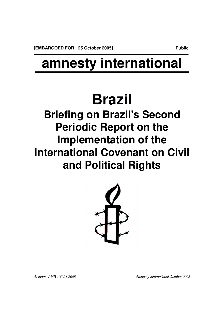## **amnesty international**

# **Brazil**

**Briefing on Brazil's Second Periodic Report on the Implementation of the International Covenant on Civil and Political Rights**



*AI Index: AMR 19/021/2005 Amnesty International October 2005*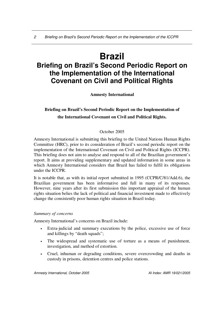### **Brazil**

### **Briefing on Brazil's Second Periodic Report on the Implementation of the International Covenant on Civil and Political Rights**

**Amnesty International**

#### **Briefing on Brazil's Second Periodic Report on the Implementation of the International Covenant on Civil and Political Rights.**

#### October 2005

Amnesty International is submitting this briefing to the United Nations Human Rights Committee (HRC), prior to its consideration of Brazil's second periodic report on the implementation of the International Covenant on Civil and Political Rights (ICCPR). This briefing does not aim to analyse and respond to all of the Brazilian government's report. It aims at providing supplementary and updated information in some areas in which Amnesty International considers that Brazil has failed to fulfil its obligations under the ICCPR.

It is notable that, as with its initial report submitted in 1995 (CCPR/C/81/Add.6), the Brazilian government has been informative and full in many of its responses. However, nine years after its first submission this important appraisal of the human rights situation belies the lack of political and financial investment made to effectively change the consistently poor human rights situation in Brazil today.

#### *Summary of concerns*

Amnesty International's concerns on Brazil include:

- Extra-judicial and summary executions by the police, excessive use of force and killings by "death squads";
- The widespread and systematic use of torture as a means of punishment, investigation, and method of extortion.
- Cruel, inhuman or degrading conditions, severe overcrowding and deaths in custody in prisons, detention centres and police stations.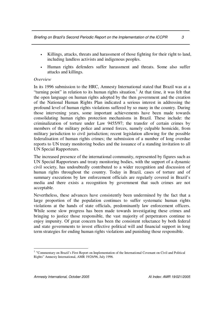- Killings, attacks, threats and harassment of those fighting for their right to land, including landless activists and indigenous peoples.
- Human rights defenders suffer harassment and threats. Some also suffer attacks and killings.

#### *Overview*

In its 1996 submission to the HRC, Amnesty International stated that Brazil was at a "turning point" in relation to its human rights situation.<sup>1</sup> At that time, it was felt that the open language on human rights adopted by the then government and the creation of the National Human Rights Plan indicated a serious interest in addressing the profound level of human rights violations suffered by so many in the country. During those intervening years, some important achievements have been made towards consolidating human rights protection mechanisms in Brazil. These include: the criminalization of torture under Law 9455/97; the transfer of certain crimes by members of the military police and armed forces, namely culpable homicide, from military jurisdiction to civil jurisdiction; recent legislation allowing for the possible federalisation of human rights crimes; the submission of a number of long overdue reports to UN treaty monitoring bodies and the issuance of a standing invitation to all UN Special Rapporteurs.

The increased presence of the international community, represented by figures such as UN Special Rapporteurs and treaty monitoring bodies, with the support of a dynamic civil society, has undoubtedly contributed to a wider recognition and discussion of human rights throughout the country. Today in Brazil, cases of torture and of summary executions by law enforcement officials are regularly covered in Brazil's media and there exists a recognition by government that such crimes are not acceptable.

Nevertheless, these advances have consistently been undermined by the fact that a large proportion of the population continues to suffer systematic human rights violations at the hands of state officials, predominantly law enforcement officers. While some slow progress has been made towards investigating these crimes and bringing to justice those responsible, the vast majority of perpetrators continue to enjoy impunity. Of great concern has been the consistent reluctance by both federal and state governments to invest effective political will and financial support in long term strategies for ending human rights violations and punishing those responsible.

<sup>&</sup>lt;sup>1</sup> "Commentary on Brazil's First Report on Implementation of the International Covenant on Civil and Political Rights" Amnesty International, AMR 19/26/96, July 1996.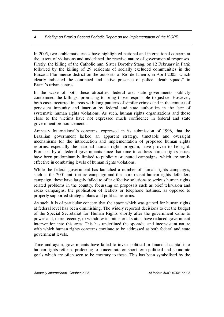In 2005, two emblematic cases have highlighted national and international concern at the extent of violations and underlined the reactive nature of governmental responses. Firstly, the killing of the Catholic nun, Sister Dorothy Stang, on 12 February in Pará; followed by the killing of 29 residents of socially excluded communities in the Baixada Fluminense district on the outskirts of Rio de Janeiro, in April 2005, which clearly indicated the continued and active presence of police "death squads" in Brazil's urban centres.

In the wake of both these atrocities, federal and state governments publicly condemned the killings, promising to bring those responsible to justice. However, both cases occurred in areas with long patterns of similar crimes and in the context of persistent impunity and inaction by federal and state authorities in the face of systematic human rights violations. As such, human rights organizations and those close to the victims have not expressed much confidence in federal and state government pronouncements.

Amnesty International's concerns, expressed in its submission of 1996, that the Brazilian government lacked an apparent strategy, timetable and oversight mechanisms for the introduction and implementation of proposed human rights reforms, especially the national human rights program, have proven to be right. Promises by all federal governments since that time to address human rights issues have been predominantly limited to publicity orientated campaigns, which are rarely effective in combating levels of human rights violations.

While the federal government has launched a number of human rights campaigns, such as the 2001 anti-torture campaign and the more recent human rights defenders campaign, these have largely failed to offer effective solutions to serious human rights related problems in the country, focussing on proposals such as brief television and radio campaigns, the publication of leaflets or telephone hotlines, as opposed to properly supported strategic plans and political reforms.

As such, it is of particular concern that the space which was gained for human rights at federal level has been diminishing. The widely reported decisions to cut the budget of the Special Secretariat for Human Rights shortly after the government came to power and, more recently, to withdraw its ministerial status, have reduced government intervention into this area. This has underlined the sporadic and inconsistent nature with which human rights concerns continue to be addressed at both federal and state government levels.

Time and again, governments have failed to invest political or financial capital into human rights reforms preferring to concentrate on short term political and economic goals which are often seen to be contrary to these. This has been symbolised by the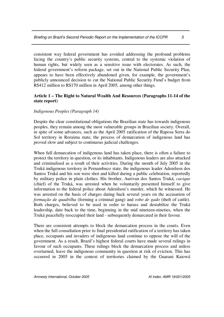consistent way federal government has avoided addressing the profound problems facing the country's public security systems, central to the systemic violation of human rights, but widely seen as a sensitive issue with electorates. As such, the federal government's reform package, set out in the National Public Security Plan, appears to have been effectively abandoned given, for example, the government's publicly announced decision to cut the National Public Security Fund's budget from R\$412 million to R\$170 million in April 2005, among other things.

#### **Article 1 – The Right to Natural Wealth And Resources (Paragraphs 11-14 of the state report)**

#### *Indigenous Peoples (Paragraph 14)*

Despite the clear constitutional obligations the Brazilian state has towards indigenous peoples, they remain among the most vulnerable groups in Brazilian society. Overall, in spite of some advances, such as the April 2005 ratification of the Raposa Serra do Sol territory in Roraima state, the process of demarcation of indigenous land has proved slow and subject to continuous judicial challenges.

When full demarcation of indigenous land has taken place, there is often a failure to protect the territory in question, or its inhabitants. Indigenous leaders are also attacked and criminalised as a result of their activities. During the month of July 2005 in the Truká indigenous territory in Pernambuco state, the indigenous leader Adenilson dos Santos Truká and his son were shot and killed during a public celebration, reportedly by military police in plain clothes. His brother, Aurivan dos Santos Truká, *cacique* (chief) of the Truká, was arrested when he voluntarily presented himself to give information to the federal police about Adenilson's murder, which he witnessed. He was arrested on the basis of charges dating back several years on the accusation of *formação de quadrilha* (forming a criminal gang) and *robo de gado* (theft of cattle). Both charges, believed to be used in order to harass and destabilize the Truká leadership, date back to the time, beginning in the mid nineteen-nineties, when the Truká peacefully reoccupied their land - subsequently demarcated in their favour.

There are consistent attempts to block the demarcation process in the courts. Even when the full consultation prior to final presidential ratification of a territory has taken place, occupants and invaders of indigenous land continue to oppose the will of the government. As a result, Brazil's highest federal courts have made several rulings in favour of such occupants. These rulings block the demarcation process and unless overturned, leave the indigenous community in question at risk of eviction. This has occurred in 2005 in the context of territories claimed by the Guarani Kaiowá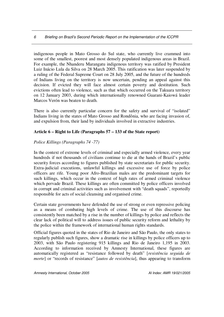indigenous people in Mato Grosso do Sul state, who currently live crammed into some of the smallest, poorest and most densely populated indigenous areas in Brazil. For example, the Nhanderu Marangatu indigenous territory was ratified by President Luiz Inácio Lula da Silva on 28 March 2005. This ratification was later suspended by a ruling of the Federal Supreme Court on 28 July 2005, and the future of the hundreds of Indians living on the territory is now uncertain, pending an appeal against this decision. If evicted they will face almost certain poverty and destitution. Such evictions often lead to violence, such as that which occurred on the Takuara territory on 12 January 2003, during which internationally renowned Guarani-Kaiowá leader Marcos Verón was beaten to death.

There is also currently particular concern for the safety and survival of "isolated" Indians living in the states of Mato Grosso and Rondônia, who are facing invasion of, and expulsion from, their land by individuals involved in extractive industries.

#### **Article 6 – Right to Life (Paragraphs 57 – 133 of the State report)**

#### *Police Killings (Paragraphs 74 -77)*

In the context of extreme levels of criminal and especially armed violence, every year hundreds if not thousands of civilians continue to die at the hands of Brazil's public security forces according to figures published by state secretariats for public security. Extra-judicial executions, unlawful killings and excessive use of force by police officers are rife. Young poor Afro-Brazilian males are the predominant targets for such killings, which occur in the context of high rates of armed criminal violence which pervade Brazil. These killings are often committed by police officers involved in corrupt and criminal activities such as involvement with "death squads", reportedly responsible for acts of social cleansing and organised crime.

Certain state governments have defended the use of strong or even repressive policing as a means of combating high levels of crime. The use of this discourse has consistently been matched by a rise in the number of killings by police and reflects the clear lack of political will to address issues of public security reform and lethality by the police within the framework of international human rights standards.

Official figures quoted in the states of Rio de Janeiro and São Paulo, the only states to regularly publish such figures, show a dramatic rise in killings by police officers up to 2003, with São Paulo registering 915 killings and Rio de Janeiro 1,195 in 2003. According to information received by Amnesty International, these figures are automatically registered as "resistance followed by death" [*resistência seguida de morte*] or "records of resistance" [*autos de resistência*], thus appearing to transform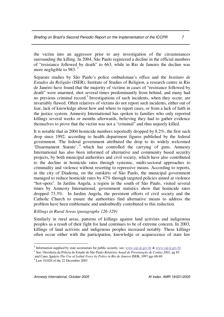the victim into an aggressor prior to any investigation of the circumstances surrounding the killing. In 2004, São Paulo registered a decline in the official numbers of "resistance followed by death" to 663, while in Rio de Janeiro the decline was more negligible to 983.<sup>2</sup>

Separate studies by São Paulo's police ombudsman's office and the *Instituto de Estudos da Religião* (ISER), Institute of Studies of Religion, a research centre in Rio de Janeiro have found that the majority of victims in cases of "resistance followed by death" were unarmed, shot several times predominantly from behind, and many had no previous criminal record.<sup>3</sup> Investigations of such incidents, when they occur, are invariably flawed. Often relatives of victims do not report such incidents, either out of fear, lack of knowledge about how and where to report cases, or from a lack of faith in the justice system. Amnesty International has spoken to families who only reported killings several weeks or months afterwards, believing they had to gather evidence themselves to prove that the victim was not a "criminal" and thus unjustly killed.

It is notable that in 2004 homicide numbers reportedly dropped by 8.2%, the first such drop since 1992, according to health department figures published by the federal government. The federal government attributed the drop to its widely welcomed 'Disarmament Statute', 4 which has controlled the carrying of guns. Amnesty International has also been informed of alternative and community based security projects, by both municipal authorities and civil society, which have also contributed to the decline in homicide rates through systemic, multi-sectoral approaches to criminality and violence without resorting to repressive means. According to reports, in the city of Diadema, on the outskirts of São Paulo, the municipal government managed to reduce homicide rates by 47% through targeted policies aimed at violence "hot-spots". In Jardim Angela, a region in the south of São Paulo, visited several times by Amnesty International, government statistics show that homicide rates dropped 73.3%. In Jardim Angela, the persistent efforts of civil society and the Catholic Church to ensure the authorities find alternative means to address the problem have been emblematic and undoubtedly contributed to this reduction.

#### *Killings in Rural Areas (paragraphs 126-129)*

Similarly in rural areas, patterns of killings against land activists and indigenous peoples as a result of their fight for land continues to be of extreme concern. In 2003, killings of land activists and indigenous peoples increased notably. These killings often occur either with the participation, knowledge or acquiescence of state law

<sup>&</sup>lt;sup>2</sup> Information supplied by state secretariats for public security, see: www.ssp.sp.gov.br & www.ssp.rj.gov.br

<sup>3</sup> See: Ouvidoria da Policia do Estado de São Paulo *Relatório Anual de Presentação de Contas 2001,* pg 85 and Cano, Ignácio *The Use of Lethal Force by Police in Rio de Janeiro* ISER, 1997 pgs 68-69.

<sup>4</sup> Law 10,826 of the 22 December 2003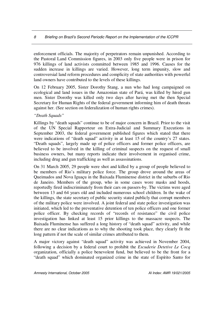enforcement officials. The majority of perpetrators remain unpunished. According to the Pastoral Land Commission figures, in 2003 only five people were in prison for 976 killings of land activists committed between 1985 and 1996. Causes for the sudden increase in killings are varied. However, long term impunity, slow and controversial land reform procedures and complicity of state authorities with powerful land owners have contributed to the levels of these killings.

On 12 February 2005, Sister Dorothy Stang, a nun who had long campaigned on ecological and land issues in the Amazonian state of Pará, was killed by hired gun men. Sister Dorothy was killed only two days after having met the then Special Secretary for Human Rights of the federal government informing him of death threats against her. (See section on federalization of human rights crimes).

#### *"Death Squads"*

Killings by "death squads" continue to be of major concern in Brazil. Prior to the visit of the UN Special Rapporteur on Extra-Judicial and Summary Executions in September 2003, the federal government published figures which stated that there were indications of "death squad" activity in at least 15 of the country's 27 states. "Death squads", largely made up of police officers and former police officers, are believed to be involved in the killing of criminal suspects on the request of small business owners, but many reports indicate their involvement in organised crime, including drug and gun trafficking as well as assassinations.

On 31 March 2005, 29 people were shot and killed by a group of people believed to be members of Rio's military police force. The group drove around the areas of Queimados and Nova Iguaçu in the Baixada Fluminense district in the suburbs of Rio de Janeiro. Members of the group, who in some cases wore masks and hoods, reportedly fired indiscriminately from their cars on passers-by. The victims were aged between 13 and 64 years old and included numerous school children. In the wake of the killings, the state secretary of public security stated publicly that corrupt members of the military police were involved. A joint federal and state police investigation was initiated, which led to the preventative detention of ten police officers and one former police officer. By checking records of "records of resistance" the civil police investigation has linked at least 15 prior killings to the massacre suspects. The Baixada Fluminense has suffered a long history of "death squad" activity, and while there are no clear indications as to why the shooting took place, they clearly fit the long pattern if not the scale of similar crimes attributed to them.

A major victory against "death squad" activity was achieved in November 2004, following a decision by a federal court to prohibit the *Escuderie Detetive Le Cocq* organization, officially a police benevolent fund, but believed to be the front for a "death squad" which dominated organized crime in the state of Espírito Santo for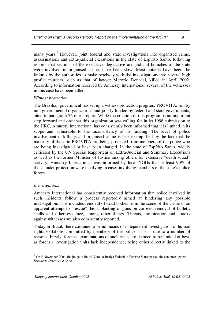many years.<sup>5</sup> However, joint federal and state investigations into organised crime, assassinations and extra-judicial executions in the state of Espírito Santo, following reports that sections of the executive, legislative and judicial branches of the state were involved in organised crime, have been slow. Most notable have been the failures by the authorities to make headway with the investigations into several high profile murders, such as that of lawyer Marcelo Denadai, killed in April 2002. According to information received by Amnesty International, several of the witnesses in this case have been killed.

#### *Witness protection*

The Brazilian government has set up a witness protection program, PROVITA, run by non-governmental organizations and jointly funded by federal and state governments, cited in paragraph 76 of its report. While the creation of this program is an important step forward and one that this organization was calling for in its 1996 submission to the HRC, Amnesty International has consistently been informed that it is limited in its scope and vulnerable to the inconsistency of its funding. The level of police involvement in killings and organised crime is best exemplified by the fact that the majority of those in PROVITA are being protected from members of the police who are being investigated or have been charged. In the state of Espírito Santo, widely criticised by the UN Special Rapporteur on Extra-Judicial and Summary Executions as well as the former Minister of Justice among others for extensive "death squad" activity, Amnesty International was informed by local NGOs that at least 90% of those under protection were testifying in cases involving members of the state's police forces.

#### *Investigations*

Amnesty International has consistently received information that police involved in such incidents follow a process reportedly aimed at hindering any possible investigation. This includes removal of dead bodies from the scene of the crime in an apparent attempt to "rescue" them, planting of guns on corpses, removal of bullets, shells and other evidence, among other things. Threats, intimidation and attacks against witnesses are also consistently reported.

Today in Brazil, there continue to be no means of independent investigation of human rights violations committed by members of the police. This is due to a number of reasons. Firstly, forensic examinations of such cases are deemed to be limited at best, as forensic investigation units lack independence, being either directly linked to the

<sup>5</sup> On 5 November 2004, the judge of the 4a Vara da Justiça Federal in Espírito Santo passed the sentence against *Escuderie Detetive Le Cocq*.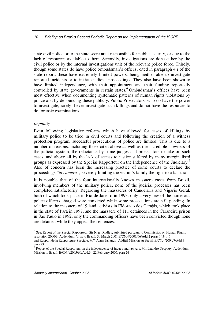state civil police or to the state secretariat responsible for public security, or due to the lack of resources available to them. Secondly, investigations are done either by the civil police or by the internal investigations unit of the relevant police force. Thirdly, though some states do have police ombudsman's offices, cited in paragraph 4 r of the state report, these have extremely limited powers, being neither able to investigate reported incidents or to initiate judicial proceedings. They also have been shown to have limited independence, with their appointment and their funding reportedly controlled by state governments in certain states. <sup>6</sup> Ombudsman's offices have been most effective when documenting systematic patterns of human rights violations by police and by denouncing these publicly. Public Prosecutors, who do have the power to investigate, rarely if ever investigate such killings and do not have the resources to do forensic examinations.

#### *Impunity*

Even following legislative reforms which have allowed for cases of killings by military police to be tried in civil courts and following the creation of a witness protection program, successful prosecutions of police are limited. This is due to a number of reasons, including those cited above as well as the incredible slowness of the judicial system, the reluctance by some judges and prosecutors to take on such cases, and above all by the lack of access to justice suffered by many marginalised groups as expressed by the Special Rapporteur on the Independence of the Judiciary. 7 Also of concern has been the increasing practice of some courts to declare the proceedings "*in camera",* severely limiting the victim's family the right to a fair trial.

It is notable that of the four internationally known massacre cases from Brazil, involving members of the military police, none of the judicial processes has been completed satisfactorily. Regarding the massacres of Candelaria and Vigario Geral, both of which took place in Rio de Janeiro in 1993, only a very few of the numerous police officers charged were convicted while some prosecutions are still pending. In relation to the massacre of 19 land activists in Eldorado dos Carajás, which took place in the state of Pará in 1997, and the massacre of 111 detainees in the Carandiru prison in São Paulo in 1992, only the commanding officers have been convicted though none are detained while they appeal the sentences.

<sup>&</sup>lt;sup>6</sup> See: Report of the Special Rapporteur, Sir Nigel Rodley, submitted pursuant to Commission on Human Rights resolution 2000/3. Addendum. Visit to Brazil. 30 March 2001 E/CN.4/2001/66/Add.2 paras 143-146 and Rapport de la Rapporteuse Spéciale, M me Asma Jahangir, Additif Mission au Brésil, E/CN.4/2004/7/Add.3 para 23

<sup>7</sup> Report of the Special Rapporteur on the independence of judges and lawyers, Mr. Leandro Despouy. Addendum Mission to Brazil. E/CN.4/2005/60/Add.3, 22 February 2005, para 24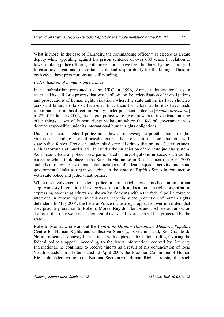What is more, in the case of Carandiru the commanding officer was elected as a state deputy while appealing against his prison sentence of over 600 years. In relation to lower ranking police officers, both prosecutions have been hindered by the inability of forensic investigations to ascertain individual responsibility for the killings. Thus, in both cases these prosecutions are still pending.

#### *Federalisation of human rights crimes*

In its submission presented to the HRC in 1996, Amnesty International again reiterated its call for a process that would allow for the federalisation of investigations and prosecutions of human rights violations where the state authorities have shown a persistent failure to do so effectively. Since then, the federal authorities have made important steps in this direction. Firstly, under presidential decree [*medida provisoria*] nº 27 of 24 January 2002, the federal police were given powers to investigate, among other things, cases of human rights violations where the federal government was deemed responsible under its international human rights obligations.

Under this decree, federal police are allowed to investigate possible human rights violations, including cases of possible extra-judicial executions, in collaboration with state police forces. However, under this decree all crimes that are not federal crimes, such as torture and murder, still fall under the jurisdiction of the state judicial system. As a result, federal police have participated in investigations in cases such as the massacre which took place in the Baixada Fluminese in Rio de Janeiro in April 2005 and also following systematic denunciations of "death squad" activity and state governmental links to organised crime in the state of Espírito Santo in conjunction with state police and judicial authorities.

While the involvement of federal police in human rights cases has been an important step, Amnesty International has received reports from local human rights organization expressing concern at reluctance shown by elements within the federal police force to intervene in human rights related cases, especially the protection of human rights defenders. In May 2004, the Federal Police made a legal appeal to overturn orders that they provide protection to Roberto Monte, Ruy dos Santos and José Veras Junior, on the basis that they were not federal employees and as such should be protected by the state.

Roberto Monte, who works at the *Centro de Direitos Humanos e Memoria Popular*, Centre for Human Rights and Collective Memory, based in Natal, Rio Grande do Norte, presented Amnesty International with copies of the judicial ruling favoring the federal police's appeal. According to the latest information received by Amnesty International, he continues to receive threats as a result of his denunciation of local 'death squads'. In a letter, dated 12 April 2005, the Brazilian Committee of Human Rights defenders wrote to the National Secretary of Human Rights stressing that such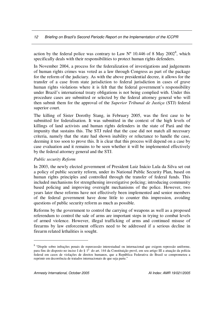action by the federal police was contrary to Law  $N^{\circ}$  10.446 of 8 May 2002<sup>8</sup>, which specifically deals with their responsibilities to protect human rights defenders.

In November 2004, a process for the federalization of investigations and judgements of human rights crimes was voted as a law through Congress as part of the package for the reform of the judiciary. As with the above presidential decree, it allows for the transfer of a case from state jurisdiction to federal jurisdiction in cases of grave human rights violations where it is felt that the federal government's responsibility under Brazil's international treaty obligations is not being complied with. Under this procedure cases are submitted or selected by the federal attorney general who will then submit them for the approval of the *Superior Tribunal de Justiça* (STJ) federal superior court.

The killing of Sister Dorothy Stang, in February 2005, was the first case to be submitted for federalisation. It was submitted in the context of the high levels of killings of land activists and human rights defenders in the state of Pará and the impunity that sustains this. The STJ ruled that the case did not match all necessary criteria, namely that the state had shown inability or reluctance to handle the case, deeming it too soon to prove this. It is clear that this process will depend on a case by case evaluation and it remains to be seen whether it will be implemented effectively by the federal attorney general and the STJ.

#### *Public security Reform*

In 2003, the newly elected government of President Luiz Inácio Lula da Silva set out a policy of public security reform, under its National Public Security Plan, based on human rights principles and controlled through the transfer of federal funds. This included mechanisms for strengthening investigative policing; introducing community based policing and improving oversight mechanisms of the police. However, two years later these reforms have not effectively been implemented and senior members of the federal government have done little to counter this impression, avoiding questions of public security reform as much as possible.

Reforms by the government to control the carrying of weapons as well as a proposed referendum to control the sale of arms are important steps in trying to combat levels of armed violence. However, illegal trafficking of arms and continued misuse of firearms by law enforcement officers need to be addressed if a serious decline in firearm related lethalities is sought.

<sup>&</sup>lt;sup>8</sup> "Dispõe sobre infrações penais de repercussão interestadual ou internacional que exigem repressão uniforme, para fins do disposto no inciso I do § 1º do art. 144 da Constituição prevê, em seu artigo III a atuação da polícia federal em casos de violações de direitos humanos, que a República Federativa do Brasil se comprometeu a reprimir em decorrência de tratados internacionais de que seja parte."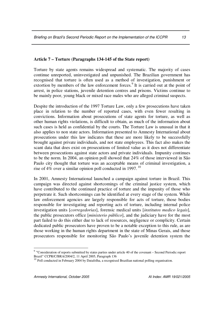#### **Article 7 – Torture (Paragraphs 134-145 of the State report)**

Torture by state agents remains widespread and systematic. The majority of cases continue unreported, uninvestigated and unpunished. The Brazilian government has recognised that torture is often used as a method of investigation, punishment or extortion by members of the law enforcement forces.<sup>9</sup> It is carried out at the point of arrest, in police stations, juvenile detention centres and prisons. Victims continue to be mainly poor, young black or mixed race males who are alleged criminal suspects.

Despite the introduction of the 1997 Torture Law, only a few prosecutions have taken place in relation to the number of reported cases, with even fewer resulting in convictions. Information about prosecutions of state agents for torture, as well as other human rights violations, is difficult to obtain, as much of the information about such cases is held as confidential by the courts. The Torture Law is unusual in that it also applies to non state actors. Information presented to Amnesty International about prosecutions under this law indicates that these are more likely to be successfully brought against private individuals, and not state employees. This fact also makes the scant data that does exist on prosecutions of limited value as it does not differentiate between prosecutions against state actors and private individuals. Impunity continues to be the norm. In 2004, an opinion poll showed that 24% of those interviewed in São Paulo city thought that torture was an acceptable means of criminal investigation, a rise of 4% over a similar opinion poll conducted in 1997.<sup>10</sup>

In 2001, Amnesty International launched a campaign against torture in Brazil. This campaign was directed against shortcomings of the criminal justice system, which have contributed to the continued practice of torture and the impunity of those who perpetrate it. Such shortcomings can be identified at every stage of the system. While law enforcement agencies are largely responsible for acts of torture, those bodies responsible for investigating and reporting acts of torture, including internal police investigation units [*corregedorias*], forensic medical units [*institutos medico legais*], the public prosecutors office [*ministerio público*], and the judiciary have for the most part failed to do this either due to lack of resources, negligence or complicity. Certain dedicated public prosecutors have proven to be a notable exception to this rule, as are those working in the human rights department in the state of Minas Gerais, and those prosecutors responsible for monitoring São Paulo's juvenile detention system the

<sup>&</sup>lt;sup>9</sup> "Consideration of reports submitted by states parties under article 40 of the covenant – Second Periodic report Brazil" CCPR/C/BRA/2004/2, 11 April 2005, Paragraph 136

<sup>&</sup>lt;sup>10</sup> Poll conducted in February 2004 by Datafolha, a recognised Brazilian national polling organisation.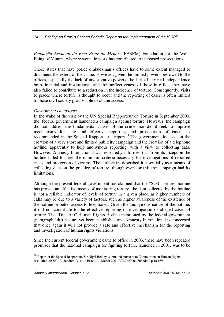*Fundação Estadual do Bem Estar do Menor*, (FEBEM) Foundation for the Well-Being of Minors, where systematic work has contributed to increased prosecutions.

Those states that have police ombudsman's offices have to some extent managed to document the extent of the crime. However, given the limited powers bestowed to the offices, especially the lack of investigative powers, the lack of any real independence both financial and institutional, and the ineffectiveness of those in office, they have also failed to contribute to a reduction in the incidence of torture. Consequently, visits to places where torture is thought to occur and the reporting of cases is often limited to those civil society groups able to obtain access.

#### *Government campaigns*

In the wake of the visit by the UN Special Rapporteur on Torture in September 2000, the federal government launched a campaign against torture. However, the campaign did not address the fundamental causes of the crime, nor did it seek to improve mechanisms for safe and effective reporting and prosecution of cases, as recommended in the Special Rapporteur's report.<sup>11</sup> The government focused on the creation of a very short and limited publicity campaign and the creation of a telephone hotline, apparently to help anonymous reporting, with a view to collecting data. However, Amnesty International was repeatedly informed that from its inception the hotline failed to meet the minimum criteria necessary for investigations of reported cases and protection of victims. The authorities described it essentially as a means of collecting data on the practice of torture, though even for this the campaign had its limitations.

Although the present federal government has claimed that the "SOS Torture" hotline has proved an effective means of monitoring torture, the data collected by the hotline is not a reliable indicator of levels of torture in a given place, as higher numbers of calls may be due to a variety of factors, such as higher awareness of the existence of the hotline or better access to telephones. Given the anonymous nature of the hotline, it did not contribute to the effective reporting or investigation of alleged cases of torture. The "Dial 100" Human Rights Hotline mentioned by the federal government (paragraph 140) has not yet been established and Amnesty International is concerned that once again it will not provide a safe and effective mechanism for the reporting and investigation of human rights violations.

Since the current federal government came to office in 2003, there have been repeated promises that the national campaign for fighting torture, launched in 2001, was to be

 $11$  Report of the Special Rapporteur, Sir Nigel Rodley, submitted pursuant to Commission on Human Rights resolution 2000/3. Addendum. Visit to Brazil. 30 March 2001 E/CN.4/2001/66/Add.2 para 169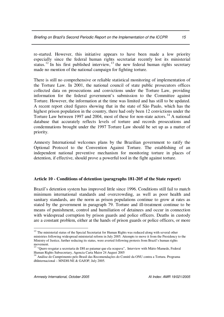re-started. However, this initiative appears to have been made a low priority especially since the federal human rights secretariat recently lost its ministerial status.<sup>12</sup> In his first published interview,  $13$  the new federal human rights secretary made no mention of the national campaign for fighting torture.

There is still no comprehensive or reliable statistical monitoring of implementation of the Torture Law. In 2001, the national council of state public prosecutors offices collected data on prosecutions and convictions under the Torture Law, providing information for the federal government's submission to the Committee against Torture. However, the information at the time was limited and has still to be updated. A recent report cited figures showing that in the state of São Paulo, which has the highest prison population in the country, there had only been 12 convictions under the Torture Law between 1997 and 2004, most of these for non-state actors.<sup>14</sup> A national database that accurately reflects levels of torture and records prosecutions and condemnations brought under the 1997 Torture Law should be set up as a matter of priority.

Amnesty International welcomes plans by the Brazilian government to ratify the Optional Protocol to the Convention Against Torture. The establishing of an independent national preventive mechanism for monitoring torture in places of detention, if effective, should prove a powerful tool in the fight against torture.

#### **Article 10 - Conditions of detention (paragraphs 181-205 of the State report)**

Brazil's detention system has improved little since 1996. Conditions still fail to match minimum international standards and overcrowding, as well as poor health and sanitary standards, are the norm as prison populations continue to grow at rates as stated by the government in paragraph 79. Torture and ill-treatment continue to be means of punishment, control and humiliation of detainees and occur in connection with widespread corruption by prison guards and police officers. Deaths in custody are a constant problem, either at the hands of prison guards or police officers, or more

 $12$  The ministerial status of the Special Secretariat for Human Rights was reduced along with several other ministries following widespread ministerial reform in July 2005. Attempts to move it from the Presidency to the Ministry of Justice, further reducing its status, were averted following protests from Brazil's human rights

movement.<br><sup>13</sup> "Quero resgatar a secretaria de DH ao patamar que ela ocupava", Interview with Mário Mamede, Federal Human Rights Subsecretary, Agencia Carta Maior 24 August 2005

<sup>14</sup> Análise do Cumprimento pelo Brasil das Recomendações do Comitê da ONU contra a Tortura. Programa dhInternacional – MNDH-NE & GAJOP, July 2005.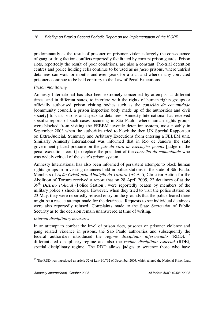predominantly as the result of prisoner on prisoner violence largely the consequence of gang or drug faction conflicts reportedly facilitated by corrupt prison guards. Prison riots, reportedly the result of poor conditions, are also a constant. Pre-trial detention centres and police holding cells continue to be used as *de facto* prisons, where untried detainees can wait for months and even years for a trial, and where many convicted prisoners continue to be held contrary to the Law of Penal Executions.

#### *Prison monitoring*

Amnesty International has also been extremely concerned by attempts, at different times, and in different states, to interfere with the rights of human rights groups or officially authorised prison visiting bodies such as the *conselho da comunidade* [community council, a prison inspection body made up of the authorities and civil society] to visit prisons and speak to detainees. Amnesty International has received specific reports of such cases occurring in São Paulo, where human rights groups were blocked from visiting the FEBEM juvenile detention system, most notably in September 2003 when the authorities tried to block the then UN Special Rapporteur on Extra-Judicial, Summary and Arbitrary Executions from entering a FEBEM unit. Similarly Amnesty International was informed that in Rio de Janeiro the state government placed pressure on the *juiz da vara de execuções penais* [judge of the penal executions court] to replace the president of the *conselho da comunidade* who was widely critical of the state's prison system.

Amnesty International has also been informed of persistent attempts to block human rights groups from visiting detainees held in police stations in the state of São Paulo. Members of *Ação Cristã pela Abolição da Tortura* (ACAT), Christian Action for the Abolition of Torture received a report that on 28 April 2005, 22 detainees of at the 39<sup>th</sup> Distrito Policial (Police Station), were reportedly beaten by members of the military police's shock troops. However, when they tried to visit the police station on 23 May, they were reportedly refused entry on the grounds that the police feared there might be a rescue attempt made for the detainees. Requests to see individual detainees were also reportedly refused. Complaints made to the State Secretariat of Public Security as to the decision remain unanswered at time of writing.

#### *Internal disciplinary measures*

In an attempt to combat the level of prison riots, prisoner on prisoner violence and gang related violence in prisons, the São Paulo authorities and subsequently the federal authorities introduced the *regime disciplinar diferenciado* (RDD), 15 differentiated disciplinary regime and also the *regime disciplinar especial* (RDE), special disciplinary regime. The RDD allows judges to sentence those who have

<sup>&</sup>lt;sup>15</sup> The RDD was introduced as article 52 of Law 10,792 of December 2003, which altered the National Prison Law.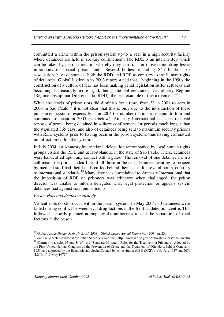committed a crime within the prison system up to a year in a high security facility where detainees are held in solitary confinement. The RDE is an interim step which can be taken by prison directors whereby they can transfer those committing lesser infractions to special prison units. Several bodies, including São Paulo's bar association, have denounced both the RDD and RDE as contrary to the human rights of detainees. Global Justice in its 2003 report stated that, "beginning in the 1990s the construction of a culture of fear has been making penal legislation suffer setbacks and becoming increasingly more rigid, being the Differentiated Disciplinary Regime (Regime Disciplinar Diferenciado, RDD), the best example of this movement." 16

While the levels of prison riots did diminish for a time, from 33 in 2001 to zero in 2003 in São Paulo,<sup>17</sup> it is not clear that this is only due to the introduction of these punishment systems, especially as in 2004 the number of riots rose again to four and continued to occur in 2005 (see below). Amnesty International has also received reports of people being detained in solitary confinement for periods much longer than the stipulated 365 days, and also of detainees being sent to maximum security prisons with RDD systems prior to having been in the prison system, thus having committed no infraction within the system.

In July 2004, an Amnesty International delegation accompanied by local human rights groups visited the RDE unit at Hortolandia, in the state of São Paulo. There, detainees were handcuffed upon any contact with a guard. The removal of one detainee from a cell meant the prior handcuffing of all those in the cell. Detainees waiting to be seen by medical staff had their hands cuffed behind their backs for several hours, contrary to international standards.<sup>18</sup> Many detainees complained to Amnesty International that the imposition of RDE on prisoners was arbitrary; when challenged, the prison director was unable to inform delegates what legal protection or appeals system detainees had against such punishments.

#### *Prison riots and deaths in custody*

Violent riots do still occur within the prison system. In May 2004, 30 detainees were killed during conflict between rival drug factions in the Benfica detention centre. This followed a poorly planned attempt by the authorities to end the separation of rival factions in the prison.

<sup>16</sup> Global Justice *Human Rights in Brazil 2003 – Global Justice Annual Report* May 2004, pg 23.

<sup>&</sup>lt;sup>17</sup> São Paulo State Secretariat for Public Security's web site: http://www.sap.sp.gov.br/dti/estatisticas/rebeliao.htm

<sup>&</sup>lt;sup>18</sup> Contrary to articles 33 and 34 of the "Standard Minimum Rules for the Treatment of Prisoners - Adopted by the First United Nations Congress on the Prevention of Crime and the Treatment of Offenders, held at Geneva in 1955, and approved by the Economic and Social Council by its resolution 663 C (XXIV) of 31 July 1957 and 2076 (LXII) of 13 May 1977"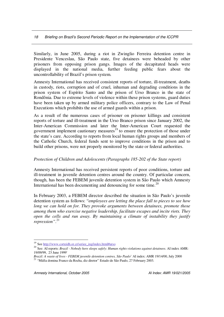Similarly, in June 2005, during a riot in Zwinglio Ferreira detention centre in Presidente Venceslau, São Paulo state, five detainees were beheaded by other prisoners from opposing prison gangs. Images of the decapitated heads were displayed in the national media, further feeding public fears about the uncontrollability of Brazil's prison system.

Amnesty International has received consistent reports of torture, ill-treatment, deaths in custody, riots, corruption and of cruel, inhuman and degrading conditions in the prison system of Espírito Santo and the prison of Urso Branco in the state of Rondônia. Due to extreme levels of violence within these prison systems, guard duties have been taken up by armed military police officers, contrary to the Law of Penal Executions which prohibits the use of armed guards within a prison.

As a result of the numerous cases of prisoner on prisoner killings and consistent reports of torture and ill-treatment in the Urso Branco prison since January 2002, the Inter-American Commission and later the Inter-American Court requested the government implement cautionary measures<sup>19</sup> to ensure the protection of those under the state's care. According to reports from local human rights groups and members of the Catholic Church, federal funds sent to improve conditions in the prison and to build other prisons, were not properly monitored by the state or federal authorities.

#### *Protection of Children and Adolescents (Paragraphs 185-202 of the State report)*

Amnesty International has received persistent reports of poor conditions, torture and ill-treatment in juvenile detention centres around the country. Of particular concern, though, has been the FEBEM juvenile detention system in São Paulo which Amnesty International has been documenting and denouncing for some time.<sup>20</sup>

In February 2003, a FEBEM director described the situation in São Paulo's juvenile detention system as follows: "*employees are letting the place fall to pieces to see how long we can hold on for. They provoke arguments between detainees, promote those among them who exercise negative leadership, facilitate escapes and incite riots. They open the cells and run away. By maintaining a climate of instability they justify repression"*. 21

<sup>&</sup>lt;sup>19</sup> See http://www.corteidh.or.cr/seriee\_ing/index.html#urso

<sup>20</sup> See: AI reports: *Brazil - Nobody here sleeps safely: Human rights violations against detainees*. AI index AMR: 19/09/99, 23 June 1999'

*Brazil: A waste of lives - FEBEM juvenile detention centres, São Paulo'* AI index: AMR 19/14/00, July 2000<br><sup>21</sup> "Máfia domina Franco da Rocha, diz diretor" Estado de São Paulo, 27 February 2003.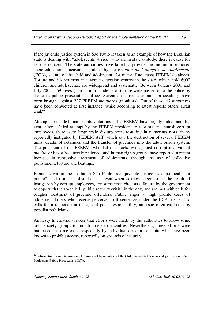If the juvenile justice system in São Paulo is taken as an example of how the Brazilian state is dealing with "adolescents at risk" who are in state custody, there is cause for serious concern. The state authorities have failed to provide the minimum proposed socio-educational measures heralded by the *Estatuto da Criança e do Adolescente* (ECA), statute of the child and adolescent, for many if not most FEBEM detainees. Torture and ill-treatment in juvenile detention centres in the state, which hold 6000 children and adolescents, are widespread and systematic. Between January 2001 and July 2005, 269 investigations into incidents of torture were passed onto the police by the state public prosecutor's office. Seventeen separate criminal proceedings have been brought against 227 FEBEM *monitores* (monitors). Out of these, 17 *monitores* have been convicted at first instance, while according to latest reports others await trial. 22

Attempts to tackle human rights violations in the FEBEM have largely failed, and this year, after a failed attempt by the FEBEM president to root out and punish corrupt employees, there were large scale disturbances, resulting in numerous riots, many reportedly instigated by FEBEM staff, which saw the destruction of several FEBEM units, deaths of detainees and the transfer of juveniles into the adult prison system. The president of the FEBEM, who led the crackdown against corrupt and violent *monitores* has subsequently resigned, and human rights groups have reported a recent increase in repressive treatment of adolescents, through the use of collective punishment, torture and beatings.

Elements within the media in São Paulo treat juvenile justice as a political "hot potato", and riots and disturbances, even when acknowledged to be the result of instigation by corrupt employees, are sometimes cited as a failure by the government to cope with the so-called "public security crisis" in the city, and are met with calls for tougher treatment of juvenile offenders. Public anger at high profile cases of adolescent killers who receive perceived soft sentences under the ECA has lead to calls for a reduction in the age of penal responsibility, an issue often exploited by populist politicians.

Amnesty International notes that efforts were made by the authorities to allow some civil society groups to monitor detention centres. Nevertheless, these efforts were hampered in some cases, especially by individual directors of units who have been known to prohibit access, reportedly on grounds of security.

<sup>&</sup>lt;sup>22</sup> Information passed to Amnesty International by members of the Children and Adolescents' department of São Paulo state Public Prosecutor's Office.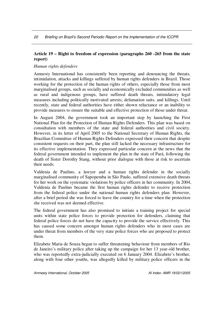#### **Article 19 – Right to freedom of expression (paragraphs 260 -265 from the state report)**

#### *Human rights defenders*

Amnesty International has consistently been reporting and denouncing the threats, intimidation, attacks and killings suffered by human rights defenders in Brazil. Those working for the protection of the human rights of others, especially those from most marginalised groups, such as socially and economically excluded communities as well as rural and indigenous groups, have suffered death threats, intimidatory legal measures including politically motivated arrests, defamation suits, and killings. Until recently, state and federal authorities have either shown reluctance or an inability to provide measures to ensure the suitable and effective protection of those under threat.

In August 2004, the government took an important step by launching the First National Plan for the Protection of Human Rights Defenders. This plan was based on consultation with members of the state and federal authorities and civil society. However, in its letter of April 2005 to the National Secretary of Human Rights, the Brazilian Committee of Human Rights Defenders expressed their concern that despite consistent requests on their part, the plan still lacked the necessary infrastructure for its effective implementation. They expressed particular concern at the news that the federal government intended to implement the plan in the state of Pará, following the death of Sister Dorothy Stang, without prior dialogue with those at risk to ascertain their needs.

Valdenia de Paulino, a lawyer and a human rights defender in the socially marginalised community of Sapopemba in São Paulo, suffered extensive death threats for her work on the systematic violations by police officers in her community. In 2004, Valdenia de Paulino became the first human rights defender to receive protection from the federal police under the national human rights defenders plan. However, after a brief period she was forced to leave the country for a time when the protection she received was not deemed effective.

The federal government has also promised to initiate a training project for special units within state police forces to provide protection for defenders, claiming that federal police forces do not have the capacity to provide the service effectively. This has caused some concern amongst human rights defenders who in most cases are under threat from members of the very state police forces who are proposed to protect them.

Elizabete Maria de Souza began to suffer threatening behaviour from members of Rio de Janeiro's military police after taking up the campaign for her 13 year-old brother, who was reportedly extra-judicially executed on 6 January 2004. Elizabete's brother, along with four other youths, was allegedly killed by military police officers in the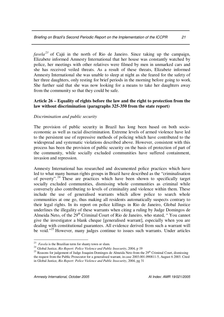*favela 23* of Cajú in the north of Rio de Janeiro. Since taking up the campaign, Elizabete informed Amnesty International that her house was constantly watched by police, her meetings with other relatives were filmed by men in unmarked cars and she has received veiled threats. As a result of these threats, Elizabete informed Amnesty International she was unable to sleep at night as she feared for the safety of her three daughters, only resting for brief periods in the morning before going to work. She further said that she was now looking for a means to take her daughters away from the community so that they could be safe.

#### **Article 26 – Equality of rights before the law and the right to protection from the law without discrimination (paragraphs 325-350 from the state report)**

#### *Discrimination and public security*

The provision of public security in Brazil has long been based on both socioeconomic as well as racial discrimination. Extreme levels of armed violence have led to the persistent use of repressive methods of policing which have contributed to the widespread and systematic violations described above. However, consistent with this process has been the provision of public security on the basis of protection of part of the community, while socially excluded communities have suffered containment, invasion and repression.

Amnesty International has researched and documented police practices which have led to what many human rights groups in Brazil have described as the "criminalisation of poverty".<sup>24</sup> These are practices which have been shown to specifically target socially excluded communities, dismissing whole communities as criminal while conversely also contributing to levels of criminality and violence within them. These include the use of generalised warrants which allow police to search whole communities at one go, thus making all residents automatically suspects contrary to their legal rights. In its report on police killings in Rio de Janeiro, Global Justice underlines the illegality of these warrants when citing a ruling by Judge Domingos de Almeida Neto, of the 29<sup>th</sup> Criminal Court of Rio de Janeiro, who stated, "You cannot give the investigator a blank cheque [generalised warrant], especially when you are dealing with constitutional guarantees. All evidence derived from such a warrant will be void."<sup>25</sup> However, many judges continue to issues such warrants. Under articles

<sup>&</sup>lt;sup>23</sup> *Favela* is the Brazilian term for shanty town or slum.

<sup>24</sup> Global Justice, *Rio Report: Police Violence and Public Insecurity*, 2004, p 19

<sup>&</sup>lt;sup>25</sup> Reasons for judgement of Judge Joaquim Domingos de Almeida Neto from the 29<sup>th</sup> Criminal Court, dismissing the request from the Public Prosecutor for a generalised warrant, in case 2003.001.090811-5, August 6 2003. Cited in Global Justice, *Rio Report: Police Violence and Public Insecurity*, 2004, pg 31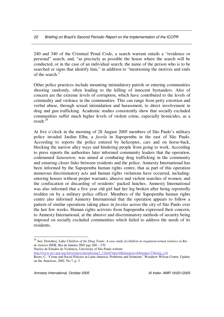240 and 340 of the Criminal Penal Code, a search warrant entails a "residence or personal" search, and, "as precisely as possible the house where the search will be conducted, or in the case of an individual search, the name of the person who is to be searched or signs that identify him," in addition to "mentioning the motives and ends of the search."

Other police practices include mounting intimidatory patrols or entering communities shooting randomly, often leading to the killing of innocent bystanders. Also of concern are the extreme levels of corruption, which have contributed to the levels of criminality and violence in the communities. This can range from petty extortion and verbal abuse, through sexual intimidation and harassment, to direct involvement in drug and gun trafficking. Academic studies consistently show that socially excluded communities suffer much higher levels of violent crime, especially homicides, as a result. 26

At five o'clock in the morning of 28 August 2005 members of São Paulo's military police invaded Jardim Elba, a *favela* in Sapopemba in the east of São Paulo. According to reports the police entered by helicopter, cars and on horse-back, blocking the narrow alley ways and hindering people from going to work. According to press reports the authorities later informed community leaders that the operation, codenamed *Saturation,* was aimed at combating drug trafficking in the community and ensuring closer links between residents and the police. Amnesty International has been informed by the Sapopemba human rights centre, that as part of this operation numerous discriminatory acts and human rights violations have occurred, including: entering houses without proper warrants; abusive and violent searches of women; and the confiscation or discarding of residents' packed lunches. Amnesty International was also informed that a five year old girl had her leg broken after being reportedly trodden on by a military police officer. Members of the Sapopemba human rights centre also informed Amnesty International that the operation appears to follow a pattern of similar operations taking place in *favelas* across the city of São Paulo over the last few weeks. Human rights activists from Sapopemba expressed their concern, to Amnesty International, at the abusive and discriminatory methods of security being imposed on socially excluded communities which failed to address the needs of its residents.

Nucleo de Estudos de Violencia, University of São Paulo website

http://www.nev.prp.usp.br/scripts/conteudos/pg3\_5.html?tipo=0&imagens=6&mapa=33&img\_i=8

<sup>26</sup> See: Dowdney, Luke *Children of the Drug Trade: A case study of children in organised armed violence in Rio de Janeiro* ISER, Rio de Janeiro 2003 pgs 268 – 270

Beato, C, "Crime and Social Policies in Latin America: Problems and Solutions" Woodrow Wilson Centre, Update on the Americas, 2002, No 7, p. 3.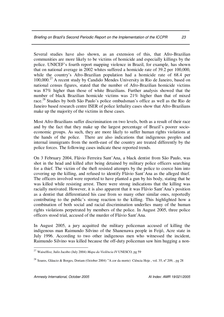Several studies have also shown, as an extension of this, that Afro-Brazilian communities are more likely to be victims of homicide and especially killings by the police. UNICEF's fourth report mapping violence in Brazil, for example, has shown that on national average in 2002 whites suffered a homicide rate of 39.2 per 100,000, while the country's Afro-Brazilian population had a homicide rate of 68.4 per 100,000. <sup>27</sup> A recent study by Candido Mendes University in Rio de Janeiro, based on national census figures, stated that the number of Afro-Brazilian homicide victims was 87% higher than those of white Brazilians. Further analysis showed that the number of black Brazilian homicide victims was 21% higher than that of mixed race.<sup>28</sup> Studies by both São Paulo's police ombudsman's office as well as the Rio de Janeiro based research centre ISER of police lethality cases show that Afro-Brazilians make up the majority of the victims in these cases.

Most Afro-Brazilians suffer discrimination on two levels, both as a result of their race and by the fact that they make up the largest percentage of Brazil's poorer socioeconomic groups. As such, they are more likely to suffer human rights violations at the hands of the police. There are also indications that indigenous peoples and internal immigrants from the north-east of the country are treated differently by the police forces. The following cases indicate these reported trends.

On 3 February 2004, Flávio Ferreira Sant'Ana, a black dentist from São Paulo, was shot in the head and killed after being detained by military police officers searching for a thief. The victim of the theft resisted attempts by the police to coerce him into covering up the killing, and refused to identify Flávio Sant'Ana as the alleged thief. The officers involved were reported to have planted a gun by his body, stating that he was killed while resisting arrest. There were strong indications that the killing was racially motivated. However, it is also apparent that it was Flávio Sant'Ana's position as a dentist that differentiated his case from so many other similar ones, reportedly contributing to the public's strong reaction to the killing. This highlighted how a combination of both social and racial discrimination underlies many of the human rights violations perpetrated by members of the police. In August 2005, three police officers stood trial, accused of the murder of Flávio Sant'Ana.

In August 2005, a jury acquitted the military policeman accused of killing the indigenous man Raimundo Silvino of the Shanenawa people in Feijó, Acre state in July 1996. According to two other indigenous men who witnessed the incident, Raimundo Silvino was killed because the off-duty policeman saw him hugging a non-

<sup>27</sup> Waiselfisz, Juilo Jacobo (July 2004) *Mapa da Violência IV* UNESCO, pg 59

<sup>&</sup>lt;sup>28</sup> Soares, Gláucio & Borges, Doriam (October 2004) "A cor da morte) Ciência Hoje, vol. 35, nº 209, , pg 28